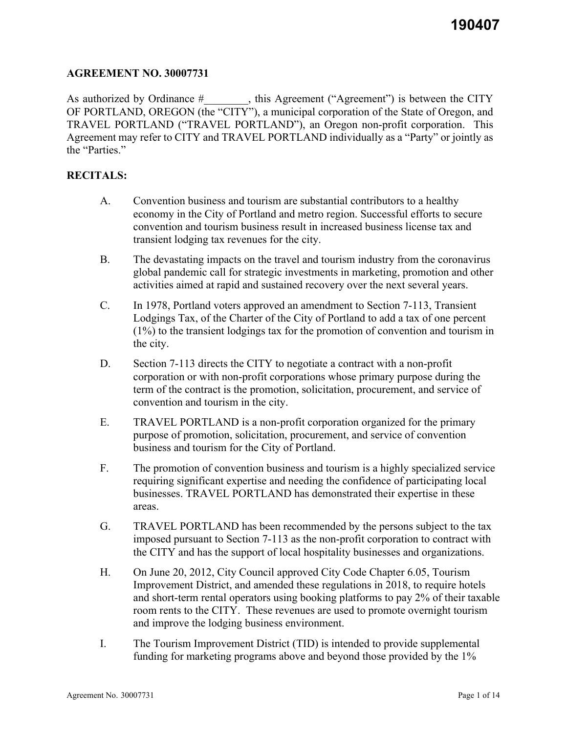### **AGREEMENT NO. 30007731**

As authorized by Ordinance #  $\qquad \qquad$ , this Agreement ("Agreement") is between the CITY OF PORTLAND, OREGON (the "CITY"), a municipal corporation of the State of Oregon, and TRAVEL PORTLAND ("TRAVEL PORTLAND"), an Oregon non-profit corporation. This Agreement may refer to CITY and TRAVEL PORTLAND individually as a "Party" or jointly as the "Parties."

## **RECITALS:**

- A. Convention business and tourism are substantial contributors to a healthy economy in the City of Portland and metro region. Successful efforts to secure convention and tourism business result in increased business license tax and transient lodging tax revenues for the city.
- B. The devastating impacts on the travel and tourism industry from the coronavirus global pandemic call for strategic investments in marketing, promotion and other activities aimed at rapid and sustained recovery over the next several years.
- C. In 1978, Portland voters approved an amendment to Section 7-113, Transient Lodgings Tax, of the Charter of the City of Portland to add a tax of one percent (1%) to the transient lodgings tax for the promotion of convention and tourism in the city.
- D. Section 7-113 directs the CITY to negotiate a contract with a non-profit corporation or with non-profit corporations whose primary purpose during the term of the contract is the promotion, solicitation, procurement, and service of convention and tourism in the city.
- E. TRAVEL PORTLAND is a non-profit corporation organized for the primary purpose of promotion, solicitation, procurement, and service of convention business and tourism for the City of Portland.
- F. The promotion of convention business and tourism is a highly specialized service requiring significant expertise and needing the confidence of participating local businesses. TRAVEL PORTLAND has demonstrated their expertise in these areas.
- G. TRAVEL PORTLAND has been recommended by the persons subject to the tax imposed pursuant to Section 7-113 as the non-profit corporation to contract with the CITY and has the support of local hospitality businesses and organizations.
- H. On June 20, 2012, City Council approved City Code Chapter 6.05, Tourism Improvement District, and amended these regulations in 2018, to require hotels and short-term rental operators using booking platforms to pay 2% of their taxable room rents to the CITY. These revenues are used to promote overnight tourism and improve the lodging business environment.
- I. The Tourism Improvement District (TID) is intended to provide supplemental funding for marketing programs above and beyond those provided by the 1%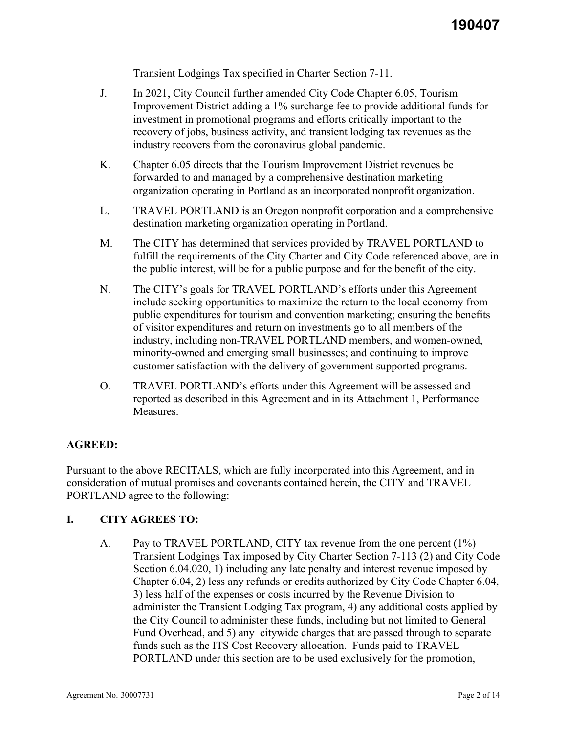Transient Lodgings Tax specified in Charter Section 7-11.

- J. In 2021, City Council further amended City Code Chapter 6.05, Tourism Improvement District adding a 1% surcharge fee to provide additional funds for investment in promotional programs and efforts critically important to the recovery of jobs, business activity, and transient lodging tax revenues as the industry recovers from the coronavirus global pandemic.
- K. Chapter 6.05 directs that the Tourism Improvement District revenues be forwarded to and managed by a comprehensive destination marketing organization operating in Portland as an incorporated nonprofit organization.
- L. TRAVEL PORTLAND is an Oregon nonprofit corporation and a comprehensive destination marketing organization operating in Portland.
- M. The CITY has determined that services provided by TRAVEL PORTLAND to fulfill the requirements of the City Charter and City Code referenced above, are in the public interest, will be for a public purpose and for the benefit of the city.
- N. The CITY's goals for TRAVEL PORTLAND's efforts under this Agreement include seeking opportunities to maximize the return to the local economy from public expenditures for tourism and convention marketing; ensuring the benefits of visitor expenditures and return on investments go to all members of the industry, including non-TRAVEL PORTLAND members, and women-owned, minority-owned and emerging small businesses; and continuing to improve customer satisfaction with the delivery of government supported programs.
- O. TRAVEL PORTLAND's efforts under this Agreement will be assessed and reported as described in this Agreement and in its Attachment 1, Performance Measures.

# **AGREED:**

Pursuant to the above RECITALS, which are fully incorporated into this Agreement, and in consideration of mutual promises and covenants contained herein, the CITY and TRAVEL PORTLAND agree to the following:

#### **I. CITY AGREES TO:**

A. Pay to TRAVEL PORTLAND, CITY tax revenue from the one percent (1%) Transient Lodgings Tax imposed by City Charter Section 7-113 (2) and City Code Section 6.04.020, 1) including any late penalty and interest revenue imposed by Chapter 6.04, 2) less any refunds or credits authorized by City Code Chapter 6.04, 3) less half of the expenses or costs incurred by the Revenue Division to administer the Transient Lodging Tax program, 4) any additional costs applied by the City Council to administer these funds, including but not limited to General Fund Overhead, and 5) any citywide charges that are passed through to separate funds such as the ITS Cost Recovery allocation. Funds paid to TRAVEL PORTLAND under this section are to be used exclusively for the promotion,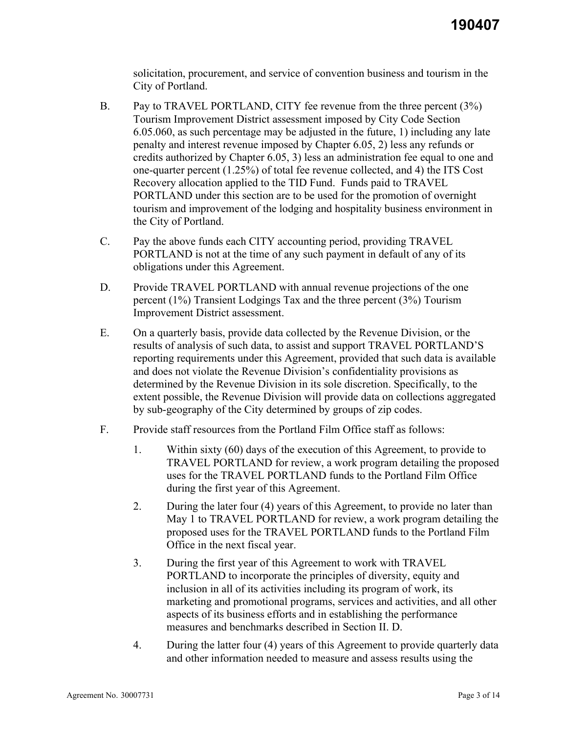solicitation, procurement, and service of convention business and tourism in the City of Portland.

- B. Pay to TRAVEL PORTLAND, CITY fee revenue from the three percent (3%) Tourism Improvement District assessment imposed by City Code Section 6.05.060, as such percentage may be adjusted in the future, 1) including any late penalty and interest revenue imposed by Chapter 6.05, 2) less any refunds or credits authorized by Chapter 6.05, 3) less an administration fee equal to one and one-quarter percent (1.25%) of total fee revenue collected, and 4) the ITS Cost Recovery allocation applied to the TID Fund. Funds paid to TRAVEL PORTLAND under this section are to be used for the promotion of overnight tourism and improvement of the lodging and hospitality business environment in the City of Portland.
- C. Pay the above funds each CITY accounting period, providing TRAVEL PORTLAND is not at the time of any such payment in default of any of its obligations under this Agreement.
- D. Provide TRAVEL PORTLAND with annual revenue projections of the one percent (1%) Transient Lodgings Tax and the three percent (3%) Tourism Improvement District assessment.
- E. On a quarterly basis, provide data collected by the Revenue Division, or the results of analysis of such data, to assist and support TRAVEL PORTLAND'S reporting requirements under this Agreement, provided that such data is available and does not violate the Revenue Division's confidentiality provisions as determined by the Revenue Division in its sole discretion. Specifically, to the extent possible, the Revenue Division will provide data on collections aggregated by sub-geography of the City determined by groups of zip codes.
- F. Provide staff resources from the Portland Film Office staff as follows:
	- 1. Within sixty (60) days of the execution of this Agreement, to provide to TRAVEL PORTLAND for review, a work program detailing the proposed uses for the TRAVEL PORTLAND funds to the Portland Film Office during the first year of this Agreement.
	- 2. During the later four (4) years of this Agreement, to provide no later than May 1 to TRAVEL PORTLAND for review, a work program detailing the proposed uses for the TRAVEL PORTLAND funds to the Portland Film Office in the next fiscal year.
	- 3. During the first year of this Agreement to work with TRAVEL PORTLAND to incorporate the principles of diversity, equity and inclusion in all of its activities including its program of work, its marketing and promotional programs, services and activities, and all other aspects of its business efforts and in establishing the performance measures and benchmarks described in Section II. D.
	- 4. During the latter four (4) years of this Agreement to provide quarterly data and other information needed to measure and assess results using the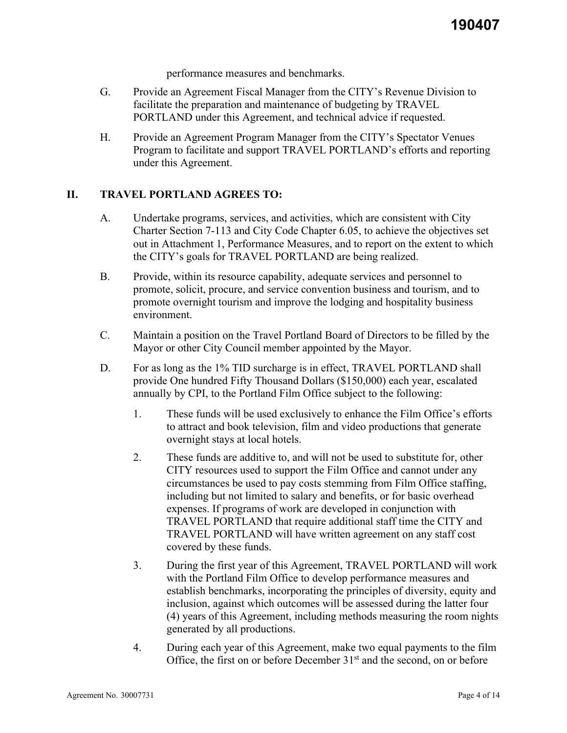performance measures and benchmarks.

- G. Provide an Agreement Fiscal Manager from the CITY's Revenue Division to facilitate the preparation and maintenance of budgeting by TRAVEL PORTLAND under this Agreement, and technical advice if requested.
- H. Provide an Agreement Program Manager from the CITY's Spectator Venues Program to facilitate and support TRAVEL PORTLAND's efforts and reporting under this Agreement.

## **II. TRAVEL PORTLAND AGREES TO:**

- A. Undertake programs, services, and activities, which are consistent with City Charter Section 7-113 and City Code Chapter 6.05, to achieve the objectives set out in Attachment 1, Performance Measures, and to report on the extent to which the CITY's goals for TRAVEL PORTLAND are being realized.
- B. Provide, within its resource capability, adequate services and personnel to promote, solicit, procure, and service convention business and tourism, and to promote overnight tourism and improve the lodging and hospitality business environment.
- C. Maintain a position on the Travel Portland Board of Directors to be filled by the Mayor or other City Council member appointed by the Mayor.
- D. For as long as the 1% TID surcharge is in effect, TRAVEL PORTLAND shall provide One hundred Fifty Thousand Dollars (\$150,000) each year, escalated annually by CPI, to the Portland Film Office subject to the following:
	- 1. These funds will be used exclusively to enhance the Film Office's efforts to attract and book television, film and video productions that generate overnight stays at local hotels.
	- 2. These funds are additive to, and will not be used to substitute for, other CITY resources used to support the Film Office and cannot under any circumstances be used to pay costs stemming from Film Office staffing, including but not limited to salary and benefits, or for basic overhead expenses. If programs of work are developed in conjunction with TRAVEL PORTLAND that require additional staff time the CITY and TRAVEL PORTLAND will have written agreement on any staff cost covered by these funds.
	- 3. During the first year of this Agreement, TRAVEL PORTLAND will work with the Portland Film Office to develop performance measures and establish benchmarks, incorporating the principles of diversity, equity and inclusion, against which outcomes will be assessed during the latter four (4) years of this Agreement, including methods measuring the room nights generated by all productions.
	- 4. During each year of this Agreement, make two equal payments to the film Office, the first on or before December  $31<sup>st</sup>$  and the second, on or before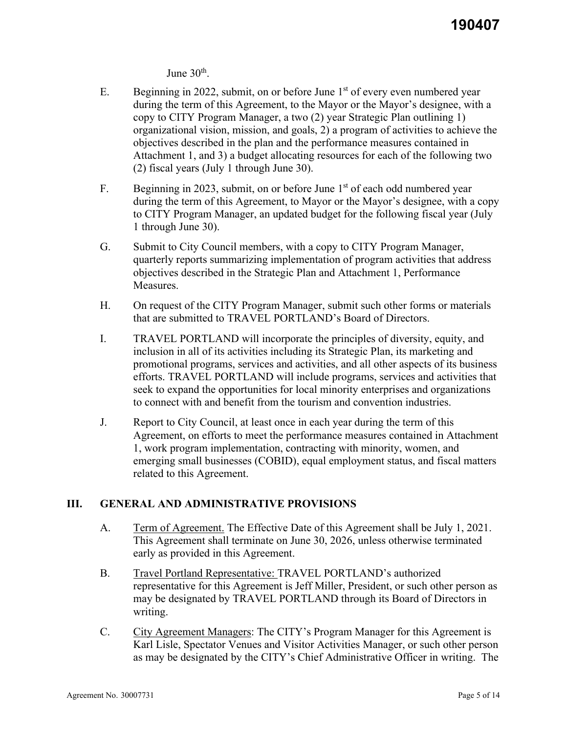June  $30<sup>th</sup>$ .

- E. Beginning in 2022, submit, on or before June  $1<sup>st</sup>$  of every even numbered year during the term of this Agreement, to the Mayor or the Mayor's designee, with a copy to CITY Program Manager, a two (2) year Strategic Plan outlining 1) organizational vision, mission, and goals, 2) a program of activities to achieve the objectives described in the plan and the performance measures contained in Attachment 1, and 3) a budget allocating resources for each of the following two (2) fiscal years (July 1 through June 30).
- F. Beginning in 2023, submit, on or before June  $1<sup>st</sup>$  of each odd numbered year during the term of this Agreement, to Mayor or the Mayor's designee, with a copy to CITY Program Manager, an updated budget for the following fiscal year (July 1 through June 30).
- G. Submit to City Council members, with a copy to CITY Program Manager, quarterly reports summarizing implementation of program activities that address objectives described in the Strategic Plan and Attachment 1, Performance Measures.
- H. On request of the CITY Program Manager, submit such other forms or materials that are submitted to TRAVEL PORTLAND's Board of Directors.
- I. TRAVEL PORTLAND will incorporate the principles of diversity, equity, and inclusion in all of its activities including its Strategic Plan, its marketing and promotional programs, services and activities, and all other aspects of its business efforts. TRAVEL PORTLAND will include programs, services and activities that seek to expand the opportunities for local minority enterprises and organizations to connect with and benefit from the tourism and convention industries.
- J. Report to City Council, at least once in each year during the term of this Agreement, on efforts to meet the performance measures contained in Attachment 1, work program implementation, contracting with minority, women, and emerging small businesses (COBID), equal employment status, and fiscal matters related to this Agreement.

# **III. GENERAL AND ADMINISTRATIVE PROVISIONS**

- A. Term of Agreement. The Effective Date of this Agreement shall be July 1, 2021. This Agreement shall terminate on June 30, 2026, unless otherwise terminated early as provided in this Agreement.
- B. Travel Portland Representative: TRAVEL PORTLAND's authorized representative for this Agreement is Jeff Miller, President, or such other person as may be designated by TRAVEL PORTLAND through its Board of Directors in writing.
- C. City Agreement Managers: The CITY's Program Manager for this Agreement is Karl Lisle, Spectator Venues and Visitor Activities Manager, or such other person as may be designated by the CITY's Chief Administrative Officer in writing. The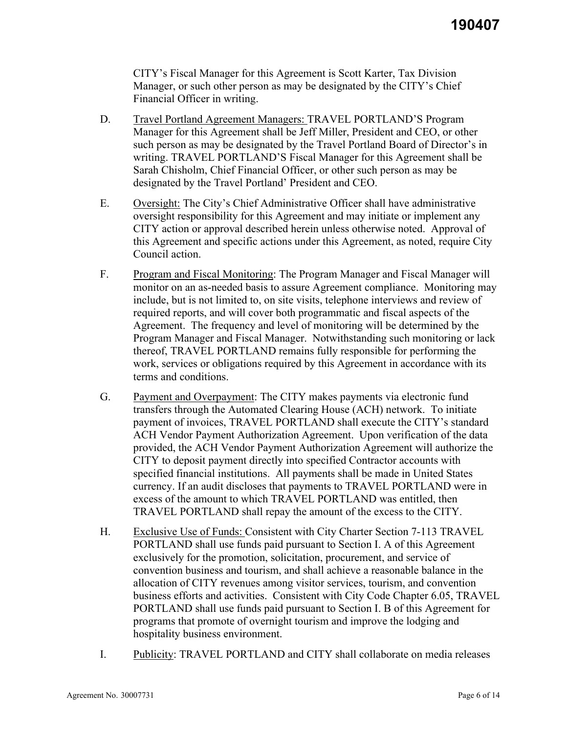CITY's Fiscal Manager for this Agreement is Scott Karter, Tax Division Manager, or such other person as may be designated by the CITY's Chief Financial Officer in writing.

- D. Travel Portland Agreement Managers: TRAVEL PORTLAND'S Program Manager for this Agreement shall be Jeff Miller, President and CEO, or other such person as may be designated by the Travel Portland Board of Director's in writing. TRAVEL PORTLAND'S Fiscal Manager for this Agreement shall be Sarah Chisholm, Chief Financial Officer, or other such person as may be designated by the Travel Portland' President and CEO.
- E. Oversight: The City's Chief Administrative Officer shall have administrative oversight responsibility for this Agreement and may initiate or implement any CITY action or approval described herein unless otherwise noted. Approval of this Agreement and specific actions under this Agreement, as noted, require City Council action.
- F. Program and Fiscal Monitoring: The Program Manager and Fiscal Manager will monitor on an as-needed basis to assure Agreement compliance. Monitoring may include, but is not limited to, on site visits, telephone interviews and review of required reports, and will cover both programmatic and fiscal aspects of the Agreement. The frequency and level of monitoring will be determined by the Program Manager and Fiscal Manager. Notwithstanding such monitoring or lack thereof, TRAVEL PORTLAND remains fully responsible for performing the work, services or obligations required by this Agreement in accordance with its terms and conditions.
- G. Payment and Overpayment: The CITY makes payments via electronic fund transfers through the Automated Clearing House (ACH) network. To initiate payment of invoices, TRAVEL PORTLAND shall execute the CITY's standard ACH Vendor Payment Authorization Agreement. Upon verification of the data provided, the ACH Vendor Payment Authorization Agreement will authorize the CITY to deposit payment directly into specified Contractor accounts with specified financial institutions. All payments shall be made in United States currency. If an audit discloses that payments to TRAVEL PORTLAND were in excess of the amount to which TRAVEL PORTLAND was entitled, then TRAVEL PORTLAND shall repay the amount of the excess to the CITY.
- H. Exclusive Use of Funds: Consistent with City Charter Section 7-113 TRAVEL PORTLAND shall use funds paid pursuant to Section I. A of this Agreement exclusively for the promotion, solicitation, procurement, and service of convention business and tourism, and shall achieve a reasonable balance in the allocation of CITY revenues among visitor services, tourism, and convention business efforts and activities. Consistent with City Code Chapter 6.05, TRAVEL PORTLAND shall use funds paid pursuant to Section I. B of this Agreement for programs that promote of overnight tourism and improve the lodging and hospitality business environment.
- I. Publicity: TRAVEL PORTLAND and CITY shall collaborate on media releases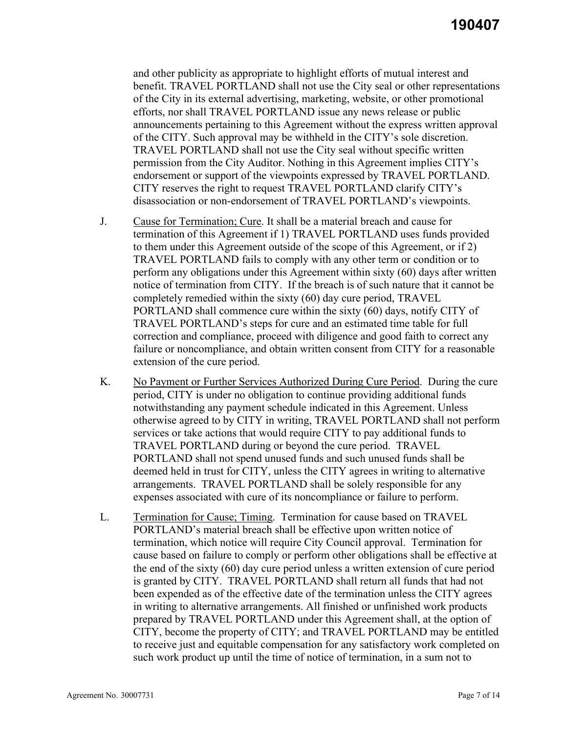and other publicity as appropriate to highlight efforts of mutual interest and benefit. TRAVEL PORTLAND shall not use the City seal or other representations of the City in its external advertising, marketing, website, or other promotional efforts, nor shall TRAVEL PORTLAND issue any news release or public announcements pertaining to this Agreement without the express written approval of the CITY. Such approval may be withheld in the CITY's sole discretion. TRAVEL PORTLAND shall not use the City seal without specific written permission from the City Auditor. Nothing in this Agreement implies CITY's endorsement or support of the viewpoints expressed by TRAVEL PORTLAND. CITY reserves the right to request TRAVEL PORTLAND clarify CITY's disassociation or non-endorsement of TRAVEL PORTLAND's viewpoints.

- J. Cause for Termination; Cure. It shall be a material breach and cause for termination of this Agreement if 1) TRAVEL PORTLAND uses funds provided to them under this Agreement outside of the scope of this Agreement, or if 2) TRAVEL PORTLAND fails to comply with any other term or condition or to perform any obligations under this Agreement within sixty (60) days after written notice of termination from CITY. If the breach is of such nature that it cannot be completely remedied within the sixty (60) day cure period, TRAVEL PORTLAND shall commence cure within the sixty (60) days, notify CITY of TRAVEL PORTLAND's steps for cure and an estimated time table for full correction and compliance, proceed with diligence and good faith to correct any failure or noncompliance, and obtain written consent from CITY for a reasonable extension of the cure period.
- K. No Payment or Further Services Authorized During Cure Period. During the cure period, CITY is under no obligation to continue providing additional funds notwithstanding any payment schedule indicated in this Agreement. Unless otherwise agreed to by CITY in writing, TRAVEL PORTLAND shall not perform services or take actions that would require CITY to pay additional funds to TRAVEL PORTLAND during or beyond the cure period. TRAVEL PORTLAND shall not spend unused funds and such unused funds shall be deemed held in trust for CITY, unless the CITY agrees in writing to alternative arrangements. TRAVEL PORTLAND shall be solely responsible for any expenses associated with cure of its noncompliance or failure to perform.
- L. Termination for Cause; Timing. Termination for cause based on TRAVEL PORTLAND's material breach shall be effective upon written notice of termination, which notice will require City Council approval. Termination for cause based on failure to comply or perform other obligations shall be effective at the end of the sixty (60) day cure period unless a written extension of cure period is granted by CITY. TRAVEL PORTLAND shall return all funds that had not been expended as of the effective date of the termination unless the CITY agrees in writing to alternative arrangements. All finished or unfinished work products prepared by TRAVEL PORTLAND under this Agreement shall, at the option of CITY, become the property of CITY; and TRAVEL PORTLAND may be entitled to receive just and equitable compensation for any satisfactory work completed on such work product up until the time of notice of termination, in a sum not to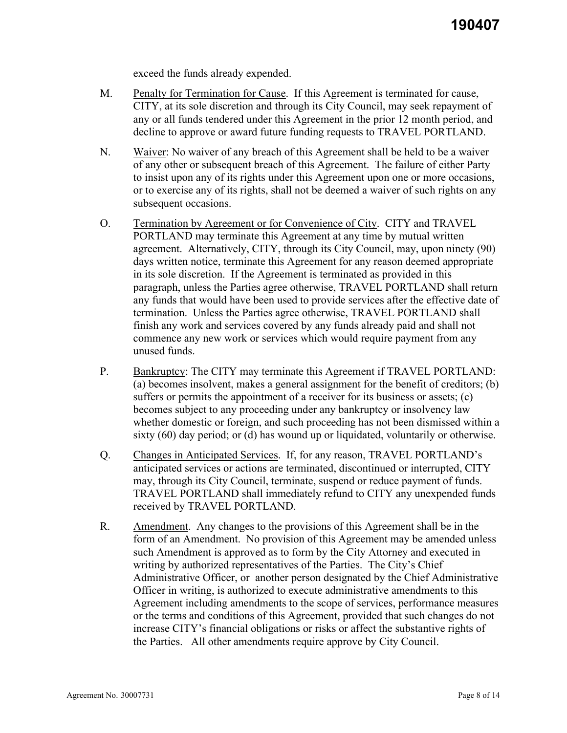exceed the funds already expended.

- M. Penalty for Termination for Cause. If this Agreement is terminated for cause, CITY, at its sole discretion and through its City Council, may seek repayment of any or all funds tendered under this Agreement in the prior 12 month period, and decline to approve or award future funding requests to TRAVEL PORTLAND.
- N. Waiver: No waiver of any breach of this Agreement shall be held to be a waiver of any other or subsequent breach of this Agreement. The failure of either Party to insist upon any of its rights under this Agreement upon one or more occasions, or to exercise any of its rights, shall not be deemed a waiver of such rights on any subsequent occasions.
- O. Termination by Agreement or for Convenience of City. CITY and TRAVEL PORTLAND may terminate this Agreement at any time by mutual written agreement. Alternatively, CITY, through its City Council, may, upon ninety (90) days written notice, terminate this Agreement for any reason deemed appropriate in its sole discretion. If the Agreement is terminated as provided in this paragraph, unless the Parties agree otherwise, TRAVEL PORTLAND shall return any funds that would have been used to provide services after the effective date of termination. Unless the Parties agree otherwise, TRAVEL PORTLAND shall finish any work and services covered by any funds already paid and shall not commence any new work or services which would require payment from any unused funds.
- P. Bankruptcy: The CITY may terminate this Agreement if TRAVEL PORTLAND: (a) becomes insolvent, makes a general assignment for the benefit of creditors; (b) suffers or permits the appointment of a receiver for its business or assets; (c) becomes subject to any proceeding under any bankruptcy or insolvency law whether domestic or foreign, and such proceeding has not been dismissed within a sixty (60) day period; or (d) has wound up or liquidated, voluntarily or otherwise.
- Q. Changes in Anticipated Services. If, for any reason, TRAVEL PORTLAND's anticipated services or actions are terminated, discontinued or interrupted, CITY may, through its City Council, terminate, suspend or reduce payment of funds. TRAVEL PORTLAND shall immediately refund to CITY any unexpended funds received by TRAVEL PORTLAND.
- R. Amendment. Any changes to the provisions of this Agreement shall be in the form of an Amendment. No provision of this Agreement may be amended unless such Amendment is approved as to form by the City Attorney and executed in writing by authorized representatives of the Parties. The City's Chief Administrative Officer, or another person designated by the Chief Administrative Officer in writing, is authorized to execute administrative amendments to this Agreement including amendments to the scope of services, performance measures or the terms and conditions of this Agreement, provided that such changes do not increase CITY's financial obligations or risks or affect the substantive rights of the Parties. All other amendments require approve by City Council.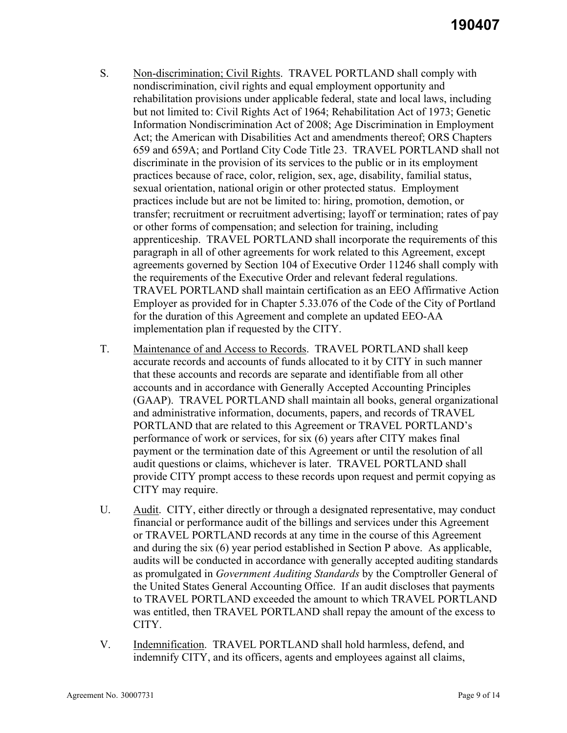- S. Non-discrimination; Civil Rights. TRAVEL PORTLAND shall comply with nondiscrimination, civil rights and equal employment opportunity and rehabilitation provisions under applicable federal, state and local laws, including but not limited to: Civil Rights Act of 1964; Rehabilitation Act of 1973; Genetic Information Nondiscrimination Act of 2008; Age Discrimination in Employment Act; the American with Disabilities Act and amendments thereof; ORS Chapters 659 and 659A; and Portland City Code Title 23. TRAVEL PORTLAND shall not discriminate in the provision of its services to the public or in its employment practices because of race, color, religion, sex, age, disability, familial status, sexual orientation, national origin or other protected status. Employment practices include but are not be limited to: hiring, promotion, demotion, or transfer; recruitment or recruitment advertising; layoff or termination; rates of pay or other forms of compensation; and selection for training, including apprenticeship. TRAVEL PORTLAND shall incorporate the requirements of this paragraph in all of other agreements for work related to this Agreement, except agreements governed by Section 104 of Executive Order 11246 shall comply with the requirements of the Executive Order and relevant federal regulations. TRAVEL PORTLAND shall maintain certification as an EEO Affirmative Action Employer as provided for in Chapter 5.33.076 of the Code of the City of Portland for the duration of this Agreement and complete an updated EEO-AA implementation plan if requested by the CITY.
- T. Maintenance of and Access to Records. TRAVEL PORTLAND shall keep accurate records and accounts of funds allocated to it by CITY in such manner that these accounts and records are separate and identifiable from all other accounts and in accordance with Generally Accepted Accounting Principles (GAAP). TRAVEL PORTLAND shall maintain all books, general organizational and administrative information, documents, papers, and records of TRAVEL PORTLAND that are related to this Agreement or TRAVEL PORTLAND's performance of work or services, for six (6) years after CITY makes final payment or the termination date of this Agreement or until the resolution of all audit questions or claims, whichever is later. TRAVEL PORTLAND shall provide CITY prompt access to these records upon request and permit copying as CITY may require.
- U. Audit. CITY, either directly or through a designated representative, may conduct financial or performance audit of the billings and services under this Agreement or TRAVEL PORTLAND records at any time in the course of this Agreement and during the six (6) year period established in Section P above. As applicable, audits will be conducted in accordance with generally accepted auditing standards as promulgated in *Government Auditing Standards* by the Comptroller General of the United States General Accounting Office. If an audit discloses that payments to TRAVEL PORTLAND exceeded the amount to which TRAVEL PORTLAND was entitled, then TRAVEL PORTLAND shall repay the amount of the excess to CITY.
- V. Indemnification. TRAVEL PORTLAND shall hold harmless, defend, and indemnify CITY, and its officers, agents and employees against all claims,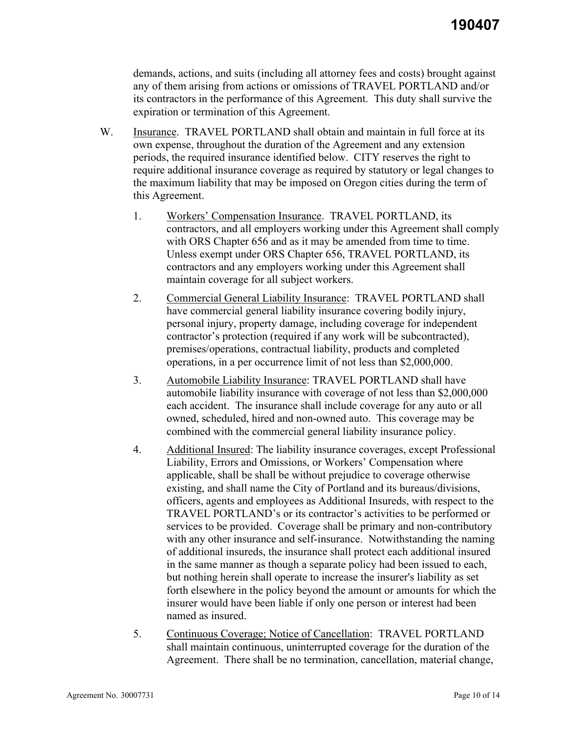demands, actions, and suits (including all attorney fees and costs) brought against any of them arising from actions or omissions of TRAVEL PORTLAND and/or its contractors in the performance of this Agreement. This duty shall survive the expiration or termination of this Agreement.

- W. Insurance. TRAVEL PORTLAND shall obtain and maintain in full force at its own expense, throughout the duration of the Agreement and any extension periods, the required insurance identified below. CITY reserves the right to require additional insurance coverage as required by statutory or legal changes to the maximum liability that may be imposed on Oregon cities during the term of this Agreement.
	- 1. Workers' Compensation Insurance. TRAVEL PORTLAND, its contractors, and all employers working under this Agreement shall comply with ORS Chapter 656 and as it may be amended from time to time. Unless exempt under ORS Chapter 656, TRAVEL PORTLAND, its contractors and any employers working under this Agreement shall maintain coverage for all subject workers.
	- 2. Commercial General Liability Insurance: TRAVEL PORTLAND shall have commercial general liability insurance covering bodily injury, personal injury, property damage, including coverage for independent contractor's protection (required if any work will be subcontracted), premises/operations, contractual liability, products and completed operations, in a per occurrence limit of not less than \$2,000,000.
	- 3. Automobile Liability Insurance: TRAVEL PORTLAND shall have automobile liability insurance with coverage of not less than \$2,000,000 each accident. The insurance shall include coverage for any auto or all owned, scheduled, hired and non-owned auto. This coverage may be combined with the commercial general liability insurance policy.
	- 4. Additional Insured: The liability insurance coverages, except Professional Liability, Errors and Omissions, or Workers' Compensation where applicable, shall be shall be without prejudice to coverage otherwise existing, and shall name the City of Portland and its bureaus/divisions, officers, agents and employees as Additional Insureds, with respect to the TRAVEL PORTLAND's or its contractor's activities to be performed or services to be provided. Coverage shall be primary and non-contributory with any other insurance and self-insurance. Notwithstanding the naming of additional insureds, the insurance shall protect each additional insured in the same manner as though a separate policy had been issued to each, but nothing herein shall operate to increase the insurer's liability as set forth elsewhere in the policy beyond the amount or amounts for which the insurer would have been liable if only one person or interest had been named as insured.
	- 5. Continuous Coverage; Notice of Cancellation: TRAVEL PORTLAND shall maintain continuous, uninterrupted coverage for the duration of the Agreement. There shall be no termination, cancellation, material change,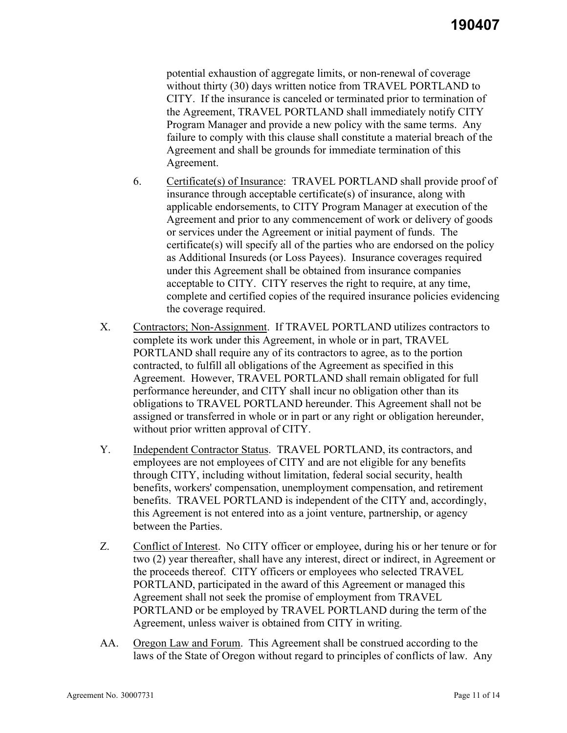potential exhaustion of aggregate limits, or non-renewal of coverage without thirty (30) days written notice from TRAVEL PORTLAND to CITY. If the insurance is canceled or terminated prior to termination of the Agreement, TRAVEL PORTLAND shall immediately notify CITY Program Manager and provide a new policy with the same terms. Any failure to comply with this clause shall constitute a material breach of the Agreement and shall be grounds for immediate termination of this Agreement.

- 6. Certificate(s) of Insurance: TRAVEL PORTLAND shall provide proof of insurance through acceptable certificate(s) of insurance, along with applicable endorsements, to CITY Program Manager at execution of the Agreement and prior to any commencement of work or delivery of goods or services under the Agreement or initial payment of funds. The certificate(s) will specify all of the parties who are endorsed on the policy as Additional Insureds (or Loss Payees). Insurance coverages required under this Agreement shall be obtained from insurance companies acceptable to CITY. CITY reserves the right to require, at any time, complete and certified copies of the required insurance policies evidencing the coverage required.
- X. Contractors; Non-Assignment. If TRAVEL PORTLAND utilizes contractors to complete its work under this Agreement, in whole or in part, TRAVEL PORTLAND shall require any of its contractors to agree, as to the portion contracted, to fulfill all obligations of the Agreement as specified in this Agreement. However, TRAVEL PORTLAND shall remain obligated for full performance hereunder, and CITY shall incur no obligation other than its obligations to TRAVEL PORTLAND hereunder. This Agreement shall not be assigned or transferred in whole or in part or any right or obligation hereunder, without prior written approval of CITY.
- Y. Independent Contractor Status. TRAVEL PORTLAND, its contractors, and employees are not employees of CITY and are not eligible for any benefits through CITY, including without limitation, federal social security, health benefits, workers' compensation, unemployment compensation, and retirement benefits. TRAVEL PORTLAND is independent of the CITY and, accordingly, this Agreement is not entered into as a joint venture, partnership, or agency between the Parties.
- Z. Conflict of Interest. No CITY officer or employee, during his or her tenure or for two (2) year thereafter, shall have any interest, direct or indirect, in Agreement or the proceeds thereof. CITY officers or employees who selected TRAVEL PORTLAND, participated in the award of this Agreement or managed this Agreement shall not seek the promise of employment from TRAVEL PORTLAND or be employed by TRAVEL PORTLAND during the term of the Agreement, unless waiver is obtained from CITY in writing.
- AA. Oregon Law and Forum. This Agreement shall be construed according to the laws of the State of Oregon without regard to principles of conflicts of law. Any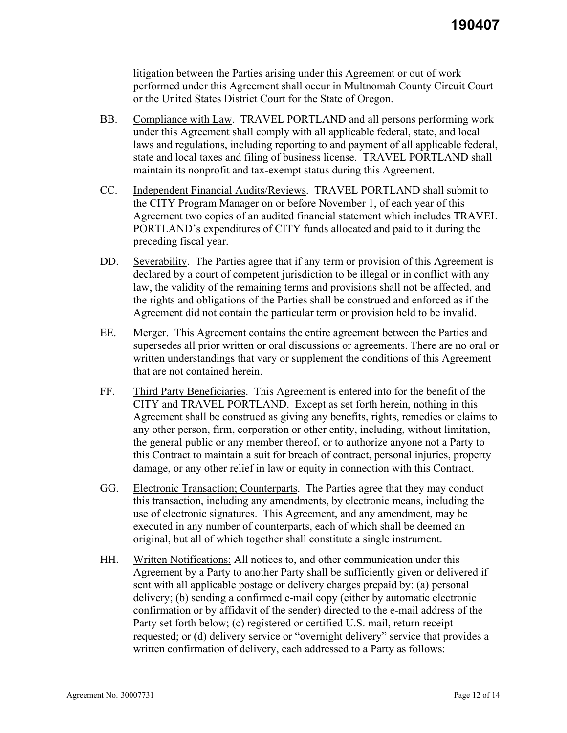litigation between the Parties arising under this Agreement or out of work performed under this Agreement shall occur in Multnomah County Circuit Court or the United States District Court for the State of Oregon.

- BB. Compliance with Law. TRAVEL PORTLAND and all persons performing work under this Agreement shall comply with all applicable federal, state, and local laws and regulations, including reporting to and payment of all applicable federal, state and local taxes and filing of business license. TRAVEL PORTLAND shall maintain its nonprofit and tax-exempt status during this Agreement.
- CC. Independent Financial Audits/Reviews. TRAVEL PORTLAND shall submit to the CITY Program Manager on or before November 1, of each year of this Agreement two copies of an audited financial statement which includes TRAVEL PORTLAND's expenditures of CITY funds allocated and paid to it during the preceding fiscal year.
- DD. Severability. The Parties agree that if any term or provision of this Agreement is declared by a court of competent jurisdiction to be illegal or in conflict with any law, the validity of the remaining terms and provisions shall not be affected, and the rights and obligations of the Parties shall be construed and enforced as if the Agreement did not contain the particular term or provision held to be invalid.
- EE. Merger. This Agreement contains the entire agreement between the Parties and supersedes all prior written or oral discussions or agreements. There are no oral or written understandings that vary or supplement the conditions of this Agreement that are not contained herein.
- FF. Third Party Beneficiaries. This Agreement is entered into for the benefit of the CITY and TRAVEL PORTLAND. Except as set forth herein, nothing in this Agreement shall be construed as giving any benefits, rights, remedies or claims to any other person, firm, corporation or other entity, including, without limitation, the general public or any member thereof, or to authorize anyone not a Party to this Contract to maintain a suit for breach of contract, personal injuries, property damage, or any other relief in law or equity in connection with this Contract.
- GG. Electronic Transaction; Counterparts. The Parties agree that they may conduct this transaction, including any amendments, by electronic means, including the use of electronic signatures. This Agreement, and any amendment, may be executed in any number of counterparts, each of which shall be deemed an original, but all of which together shall constitute a single instrument.
- HH. Written Notifications: All notices to, and other communication under this Agreement by a Party to another Party shall be sufficiently given or delivered if sent with all applicable postage or delivery charges prepaid by: (a) personal delivery; (b) sending a confirmed e-mail copy (either by automatic electronic confirmation or by affidavit of the sender) directed to the e-mail address of the Party set forth below; (c) registered or certified U.S. mail, return receipt requested; or (d) delivery service or "overnight delivery" service that provides a written confirmation of delivery, each addressed to a Party as follows: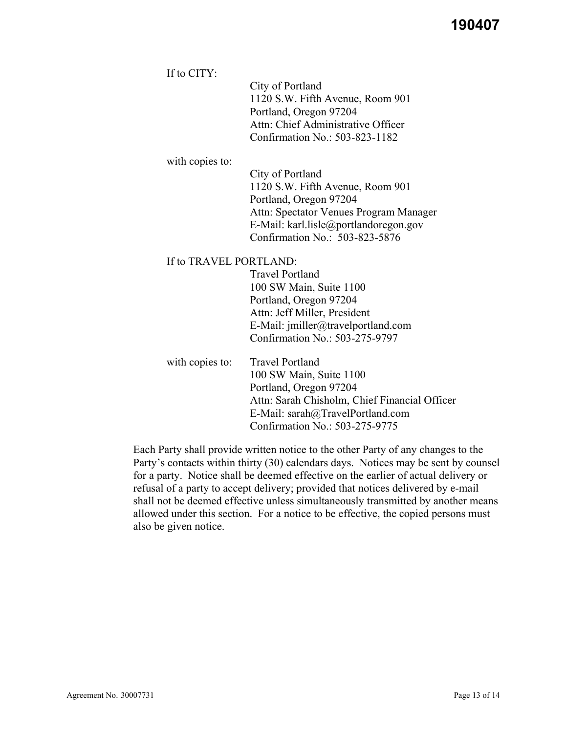If to CITY:

City of Portland 1120 S.W. Fifth Avenue, Room 901 Portland, Oregon 97204 Attn: Chief Administrative Officer Confirmation No.: 503-823-1182

with copies to:

City of Portland 1120 S.W. Fifth Avenue, Room 901 Portland, Oregon 97204 Attn: Spectator Venues Program Manager E-Mail: karl.lisle@portlandoregon.gov Confirmation No.: 503-823-5876

#### If to TRAVEL PORTLAND:

Travel Portland 100 SW Main, Suite 1100 Portland, Oregon 97204 Attn: Jeff Miller, President E-Mail: jmiller@travelportland.com Confirmation No.: 503-275-9797

with copies to: Travel Portland 100 SW Main, Suite 1100 Portland, Oregon 97204 Attn: Sarah Chisholm, Chief Financial Officer E-Mail: sarah@TravelPortland.com Confirmation No.: 503-275-9775

Each Party shall provide written notice to the other Party of any changes to the Party's contacts within thirty (30) calendars days. Notices may be sent by counsel for a party. Notice shall be deemed effective on the earlier of actual delivery or refusal of a party to accept delivery; provided that notices delivered by e-mail shall not be deemed effective unless simultaneously transmitted by another means allowed under this section. For a notice to be effective, the copied persons must also be given notice.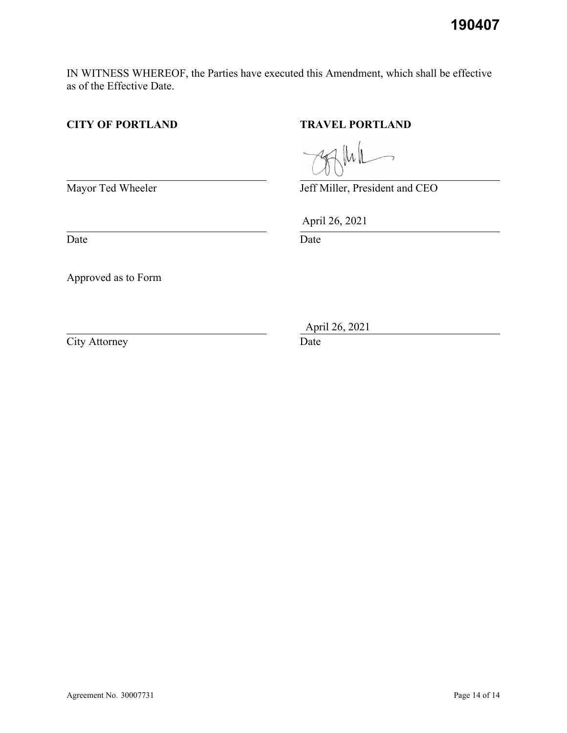**190407**

IN WITNESS WHEREOF, the Parties have executed this Amendment, which shall be effective as of the Effective Date.

# **CITY OF PORTLAND TRAVEL PORTLAND**

Mayor Ted Wheeler Jeff Miller, President and CEO

Date Date Date

Approved as to Form

City Attorney Date

April 26, 2021

April 26, 2021

 $\|\mu\|$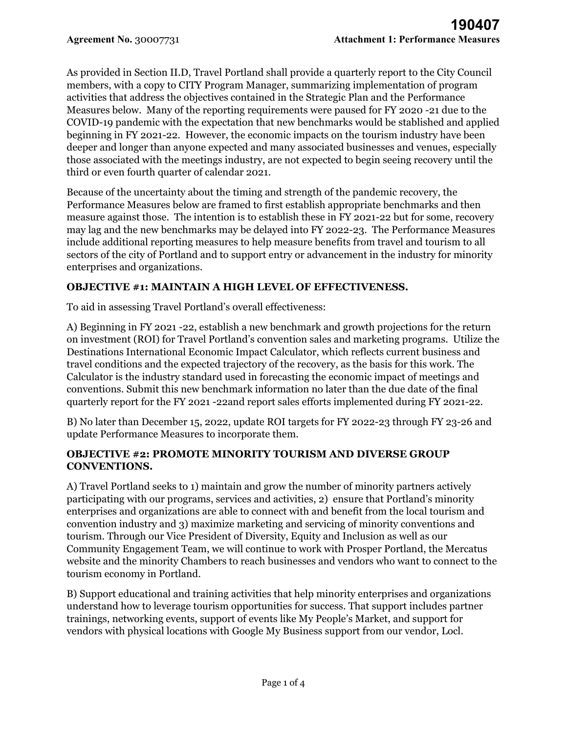As provided in Section II.D, Travel Portland shall provide a quarterly report to the City Council members, with a copy to CITY Program Manager, summarizing implementation of program activities that address the objectives contained in the Strategic Plan and the Performance Measures below. Many of the reporting requirements were paused for FY 2020 -21 due to the COVID-19 pandemic with the expectation that new benchmarks would be stablished and applied beginning in FY 2021-22. However, the economic impacts on the tourism industry have been deeper and longer than anyone expected and many associated businesses and venues, especially those associated with the meetings industry, are not expected to begin seeing recovery until the third or even fourth quarter of calendar 2021.

Because of the uncertainty about the timing and strength of the pandemic recovery, the Performance Measures below are framed to first establish appropriate benchmarks and then measure against those. The intention is to establish these in FY 2021-22 but for some, recovery may lag and the new benchmarks may be delayed into FY 2022-23. The Performance Measures include additional reporting measures to help measure benefits from travel and tourism to all sectors of the city of Portland and to support entry or advancement in the industry for minority enterprises and organizations.

# **OBJECTIVE #1: MAINTAIN A HIGH LEVEL OF EFFECTIVENESS.**

To aid in assessing Travel Portland's overall effectiveness:

A) Beginning in FY 2021 -22, establish a new benchmark and growth projections for the return on investment (ROI) for Travel Portland's convention sales and marketing programs. Utilize the Destinations International Economic Impact Calculator, which reflects current business and travel conditions and the expected trajectory of the recovery, as the basis for this work. The Calculator is the industry standard used in forecasting the economic impact of meetings and conventions. Submit this new benchmark information no later than the due date of the final quarterly report for the FY 2021 -22and report sales efforts implemented during FY 2021-22.

B) No later than December 15, 2022, update ROI targets for FY 2022-23 through FY 23-26 and update Performance Measures to incorporate them.

#### **OBJECTIVE #2: PROMOTE MINORITY TOURISM AND DIVERSE GROUP CONVENTIONS.**

A) Travel Portland seeks to 1) maintain and grow the number of minority partners actively participating with our programs, services and activities, 2) ensure that Portland's minority enterprises and organizations are able to connect with and benefit from the local tourism and convention industry and 3) maximize marketing and servicing of minority conventions and tourism. Through our Vice President of Diversity, Equity and Inclusion as well as our Community Engagement Team, we will continue to work with Prosper Portland, the Mercatus website and the minority Chambers to reach businesses and vendors who want to connect to the tourism economy in Portland.

B) Support educational and training activities that help minority enterprises and organizations understand how to leverage tourism opportunities for success. That support includes partner trainings, networking events, support of events like My People's Market, and support for vendors with physical locations with Google My Business support from our vendor, Locl.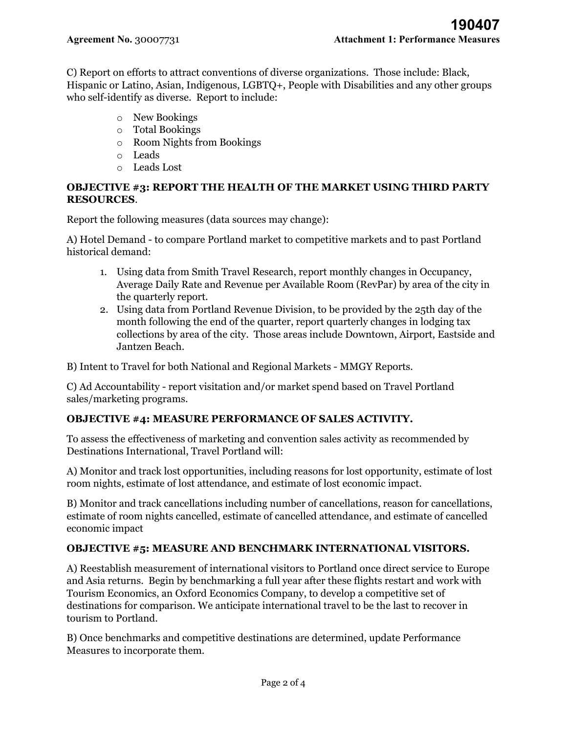C) Report on efforts to attract conventions of diverse organizations. Those include: Black, Hispanic or Latino, Asian, Indigenous, LGBTQ+, People with Disabilities and any other groups who self-identify as diverse. Report to include:

- o New Bookings
- o Total Bookings
- o Room Nights from Bookings
- o Leads
- o Leads Lost

## **OBJECTIVE #3: REPORT THE HEALTH OF THE MARKET USING THIRD PARTY RESOURCES**.

Report the following measures (data sources may change):

A) Hotel Demand - to compare Portland market to competitive markets and to past Portland historical demand:

- 1. Using data from Smith Travel Research, report monthly changes in Occupancy, Average Daily Rate and Revenue per Available Room (RevPar) by area of the city in the quarterly report.
- 2. Using data from Portland Revenue Division, to be provided by the 25th day of the month following the end of the quarter, report quarterly changes in lodging tax collections by area of the city. Those areas include Downtown, Airport, Eastside and Jantzen Beach.

B) Intent to Travel for both National and Regional Markets - MMGY Reports.

C) Ad Accountability - report visitation and/or market spend based on Travel Portland sales/marketing programs.

# **OBJECTIVE #4: MEASURE PERFORMANCE OF SALES ACTIVITY.**

To assess the effectiveness of marketing and convention sales activity as recommended by Destinations International, Travel Portland will:

A) Monitor and track lost opportunities, including reasons for lost opportunity, estimate of lost room nights, estimate of lost attendance, and estimate of lost economic impact.

B) Monitor and track cancellations including number of cancellations, reason for cancellations, estimate of room nights cancelled, estimate of cancelled attendance, and estimate of cancelled economic impact

#### **OBJECTIVE #5: MEASURE AND BENCHMARK INTERNATIONAL VISITORS.**

A) Reestablish measurement of international visitors to Portland once direct service to Europe and Asia returns. Begin by benchmarking a full year after these flights restart and work with Tourism Economics, an Oxford Economics Company, to develop a competitive set of destinations for comparison. We anticipate international travel to be the last to recover in tourism to Portland.

B) Once benchmarks and competitive destinations are determined, update Performance Measures to incorporate them.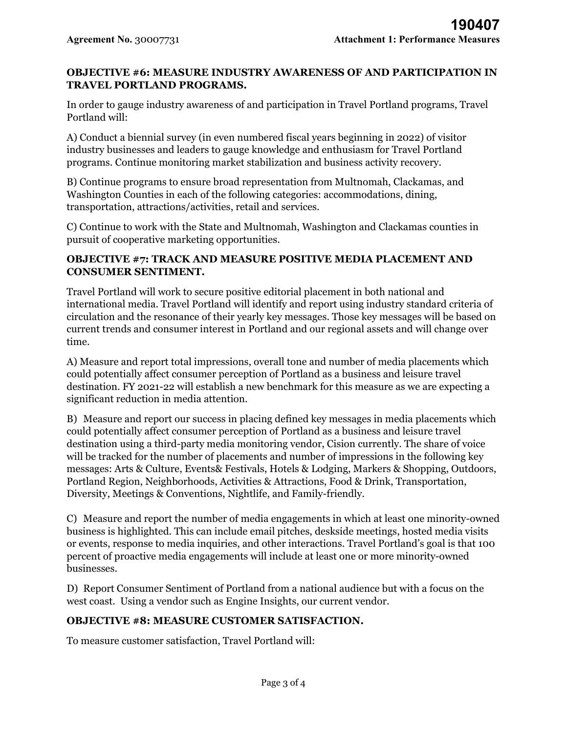### **OBJECTIVE #6: MEASURE INDUSTRY AWARENESS OF AND PARTICIPATION IN TRAVEL PORTLAND PROGRAMS.**

In order to gauge industry awareness of and participation in Travel Portland programs, Travel Portland will:

A) Conduct a biennial survey (in even numbered fiscal years beginning in 2022) of visitor industry businesses and leaders to gauge knowledge and enthusiasm for Travel Portland programs. Continue monitoring market stabilization and business activity recovery.

B) Continue programs to ensure broad representation from Multnomah, Clackamas, and Washington Counties in each of the following categories: accommodations, dining, transportation, attractions/activities, retail and services.

C) Continue to work with the State and Multnomah, Washington and Clackamas counties in pursuit of cooperative marketing opportunities.

## **OBJECTIVE #7: TRACK AND MEASURE POSITIVE MEDIA PLACEMENT AND CONSUMER SENTIMENT.**

Travel Portland will work to secure positive editorial placement in both national and international media. Travel Portland will identify and report using industry standard criteria of circulation and the resonance of their yearly key messages. Those key messages will be based on current trends and consumer interest in Portland and our regional assets and will change over time.

A) Measure and report total impressions, overall tone and number of media placements which could potentially affect consumer perception of Portland as a business and leisure travel destination. FY 2021-22 will establish a new benchmark for this measure as we are expecting a significant reduction in media attention.

B) Measure and report our success in placing defined key messages in media placements which could potentially affect consumer perception of Portland as a business and leisure travel destination using a third-party media monitoring vendor, Cision currently. The share of voice will be tracked for the number of placements and number of impressions in the following key messages: Arts & Culture, Events& Festivals, Hotels & Lodging, Markers & Shopping, Outdoors, Portland Region, Neighborhoods, Activities & Attractions, Food & Drink, Transportation, Diversity, Meetings & Conventions, Nightlife, and Family-friendly.

C) Measure and report the number of media engagements in which at least one minority-owned business is highlighted. This can include email pitches, deskside meetings, hosted media visits or events, response to media inquiries, and other interactions. Travel Portland's goal is that 100 percent of proactive media engagements will include at least one or more minority-owned businesses.

D) Report Consumer Sentiment of Portland from a national audience but with a focus on the west coast. Using a vendor such as Engine Insights, our current vendor.

# **OBJECTIVE #8: MEASURE CUSTOMER SATISFACTION.**

To measure customer satisfaction, Travel Portland will: